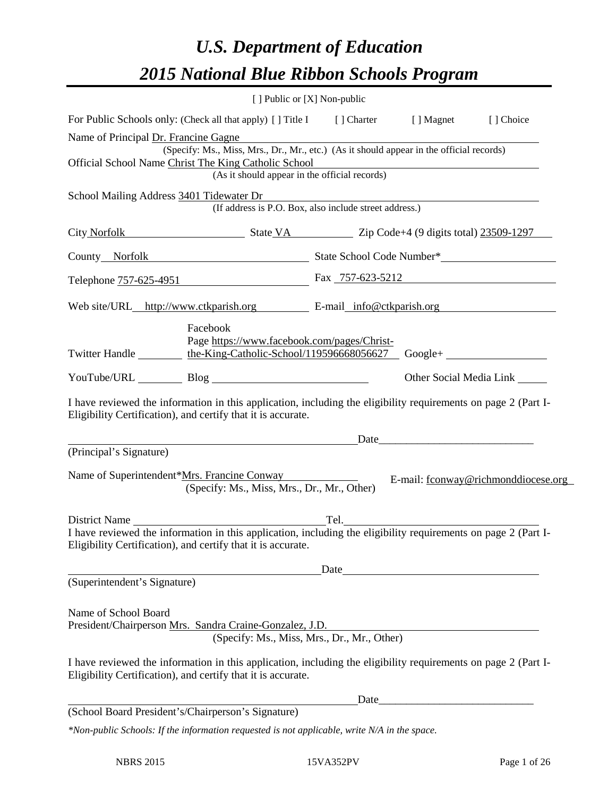# *U.S. Department of Education 2015 National Blue Ribbon Schools Program*

|                                                                                                                                                                                | [ ] Public or [X] Non-public                                             |      |  |                                     |  |  |  |
|--------------------------------------------------------------------------------------------------------------------------------------------------------------------------------|--------------------------------------------------------------------------|------|--|-------------------------------------|--|--|--|
| For Public Schools only: (Check all that apply) [] Title I [] Charter [] Magnet                                                                                                |                                                                          |      |  | [] Choice                           |  |  |  |
| Name of Principal Dr. Francine Gagne                                                                                                                                           |                                                                          |      |  |                                     |  |  |  |
| (Specify: Ms., Miss, Mrs., Dr., Mr., etc.) (As it should appear in the official records)<br>Official School Name Christ The King Catholic School                               |                                                                          |      |  |                                     |  |  |  |
|                                                                                                                                                                                | e King Catholic School<br>(As it should appear in the official records)  |      |  |                                     |  |  |  |
| School Mailing Address 3401 Tidewater Dr                                                                                                                                       |                                                                          |      |  |                                     |  |  |  |
|                                                                                                                                                                                | idewater Dr<br>(If address is P.O. Box, also include street address.)    |      |  |                                     |  |  |  |
|                                                                                                                                                                                | City Norfolk State VA Zip Code+4 (9 digits total) 23509-1297             |      |  |                                     |  |  |  |
| County Norfolk State School Code Number*                                                                                                                                       |                                                                          |      |  |                                     |  |  |  |
| Telephone 757-625-4951 Fax 757-623-5212                                                                                                                                        |                                                                          |      |  |                                     |  |  |  |
| Web site/URL http://www.ctkparish.org E-mail info@ctkparish.org                                                                                                                |                                                                          |      |  |                                     |  |  |  |
|                                                                                                                                                                                |                                                                          |      |  |                                     |  |  |  |
|                                                                                                                                                                                | Facebook<br>Page https://www.facebook.com/pages/Christ-                  |      |  |                                     |  |  |  |
| Twitter Handle _________ the-King-Catholic-School/119596668056627 Google+ _________________________                                                                            |                                                                          |      |  |                                     |  |  |  |
|                                                                                                                                                                                |                                                                          |      |  | Other Social Media Link _______     |  |  |  |
|                                                                                                                                                                                |                                                                          |      |  |                                     |  |  |  |
| I have reviewed the information in this application, including the eligibility requirements on page 2 (Part I-<br>Eligibility Certification), and certify that it is accurate. |                                                                          |      |  |                                     |  |  |  |
|                                                                                                                                                                                |                                                                          |      |  |                                     |  |  |  |
| (Principal's Signature)                                                                                                                                                        | <u>Date</u>                                                              |      |  |                                     |  |  |  |
| Name of Superintendent*Mrs. Francine Conway                                                                                                                                    |                                                                          |      |  |                                     |  |  |  |
|                                                                                                                                                                                | (Specify: Ms., Miss, Mrs., Dr., Mr., Other)                              |      |  | E-mail: fconway@richmonddiocese.org |  |  |  |
|                                                                                                                                                                                |                                                                          |      |  |                                     |  |  |  |
| District Name<br>I have reviewed the information in this application, including the eligibility requirements on page 2 (Part I-                                                |                                                                          |      |  |                                     |  |  |  |
| Eligibility Certification), and certify that it is accurate.                                                                                                                   |                                                                          |      |  |                                     |  |  |  |
|                                                                                                                                                                                |                                                                          | Date |  |                                     |  |  |  |
| (Superintendent's Signature)                                                                                                                                                   |                                                                          |      |  |                                     |  |  |  |
|                                                                                                                                                                                |                                                                          |      |  |                                     |  |  |  |
| Name of School Board<br>President/Chairperson Mrs. Sandra Craine-Gonzalez, J.D.                                                                                                |                                                                          |      |  |                                     |  |  |  |
|                                                                                                                                                                                | dra Craine-Gonzalez, J.D.<br>(Specify: Ms., Miss, Mrs., Dr., Mr., Other) |      |  |                                     |  |  |  |
| I have reviewed the information in this application, including the eligibility requirements on page 2 (Part I-<br>Eligibility Certification), and certify that it is accurate. |                                                                          |      |  |                                     |  |  |  |
|                                                                                                                                                                                |                                                                          |      |  |                                     |  |  |  |
| (School Board President's/Chairperson's Signature)                                                                                                                             |                                                                          |      |  |                                     |  |  |  |
| *Non-public Schools: If the information requested is not applicable, write N/A in the space.                                                                                   |                                                                          |      |  |                                     |  |  |  |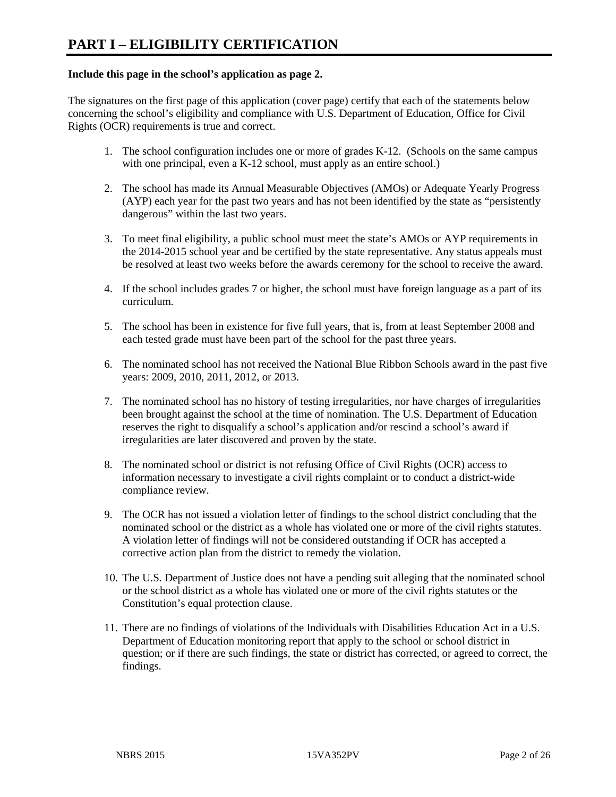#### **Include this page in the school's application as page 2.**

The signatures on the first page of this application (cover page) certify that each of the statements below concerning the school's eligibility and compliance with U.S. Department of Education, Office for Civil Rights (OCR) requirements is true and correct.

- 1. The school configuration includes one or more of grades K-12. (Schools on the same campus with one principal, even a K-12 school, must apply as an entire school.)
- 2. The school has made its Annual Measurable Objectives (AMOs) or Adequate Yearly Progress (AYP) each year for the past two years and has not been identified by the state as "persistently dangerous" within the last two years.
- 3. To meet final eligibility, a public school must meet the state's AMOs or AYP requirements in the 2014-2015 school year and be certified by the state representative. Any status appeals must be resolved at least two weeks before the awards ceremony for the school to receive the award.
- 4. If the school includes grades 7 or higher, the school must have foreign language as a part of its curriculum.
- 5. The school has been in existence for five full years, that is, from at least September 2008 and each tested grade must have been part of the school for the past three years.
- 6. The nominated school has not received the National Blue Ribbon Schools award in the past five years: 2009, 2010, 2011, 2012, or 2013.
- 7. The nominated school has no history of testing irregularities, nor have charges of irregularities been brought against the school at the time of nomination. The U.S. Department of Education reserves the right to disqualify a school's application and/or rescind a school's award if irregularities are later discovered and proven by the state.
- 8. The nominated school or district is not refusing Office of Civil Rights (OCR) access to information necessary to investigate a civil rights complaint or to conduct a district-wide compliance review.
- 9. The OCR has not issued a violation letter of findings to the school district concluding that the nominated school or the district as a whole has violated one or more of the civil rights statutes. A violation letter of findings will not be considered outstanding if OCR has accepted a corrective action plan from the district to remedy the violation.
- 10. The U.S. Department of Justice does not have a pending suit alleging that the nominated school or the school district as a whole has violated one or more of the civil rights statutes or the Constitution's equal protection clause.
- 11. There are no findings of violations of the Individuals with Disabilities Education Act in a U.S. Department of Education monitoring report that apply to the school or school district in question; or if there are such findings, the state or district has corrected, or agreed to correct, the findings.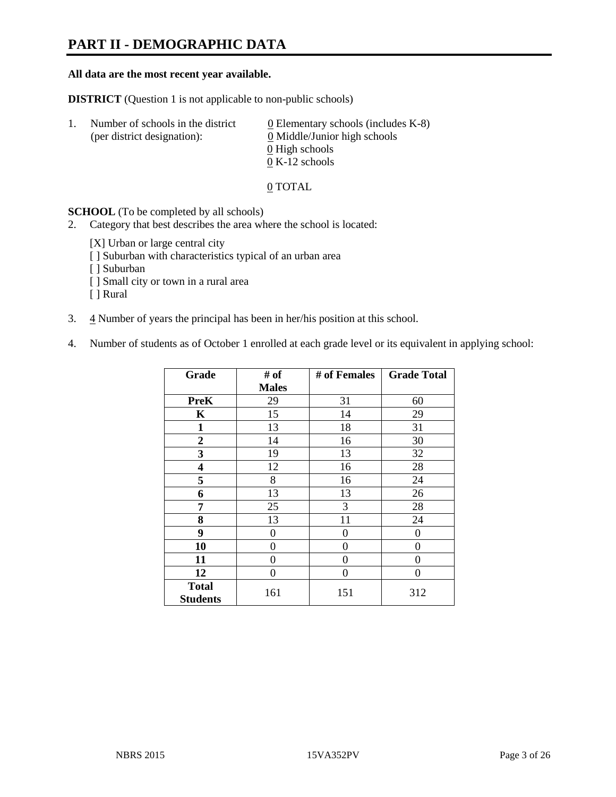# **PART II - DEMOGRAPHIC DATA**

#### **All data are the most recent year available.**

**DISTRICT** (Question 1 is not applicable to non-public schools)

| -1. | Number of schools in the district<br>(per district designation): | $\underline{0}$ Elementary schools (includes K-8)<br>0 Middle/Junior high schools<br>0 High schools |
|-----|------------------------------------------------------------------|-----------------------------------------------------------------------------------------------------|
|     |                                                                  |                                                                                                     |
|     |                                                                  | $0 K-12$ schools                                                                                    |

#### 0 TOTAL

**SCHOOL** (To be completed by all schools)

- 2. Category that best describes the area where the school is located:
	- [X] Urban or large central city
	- [ ] Suburban with characteristics typical of an urban area
	- [ ] Suburban
	- [ ] Small city or town in a rural area
	- [ ] Rural
- 3.  $\frac{4}{3}$  Number of years the principal has been in her/his position at this school.
- 4. Number of students as of October 1 enrolled at each grade level or its equivalent in applying school:

| Grade                           | # of         | # of Females   | <b>Grade Total</b> |
|---------------------------------|--------------|----------------|--------------------|
|                                 | <b>Males</b> |                |                    |
| <b>PreK</b>                     | 29           | 31             | 60                 |
| K                               | 15           | 14             | 29                 |
| $\mathbf{1}$                    | 13           | 18             | 31                 |
| $\boldsymbol{2}$                | 14           | 16             | 30                 |
| 3                               | 19           | 13             | 32                 |
| 4                               | 12           | 16             | 28                 |
| 5                               | 8            | 16             | 24                 |
| 6                               | 13           | 13             | 26                 |
| 7                               | 25           | 3              | 28                 |
| 8                               | 13           | 11             | 24                 |
| 9                               | 0            | $\overline{0}$ | $\theta$           |
| 10                              | 0            | 0              | 0                  |
| 11                              | 0            | 0              | 0                  |
| 12                              | 0            | 0              | 0                  |
| <b>Total</b><br><b>Students</b> | 161          | 151            | 312                |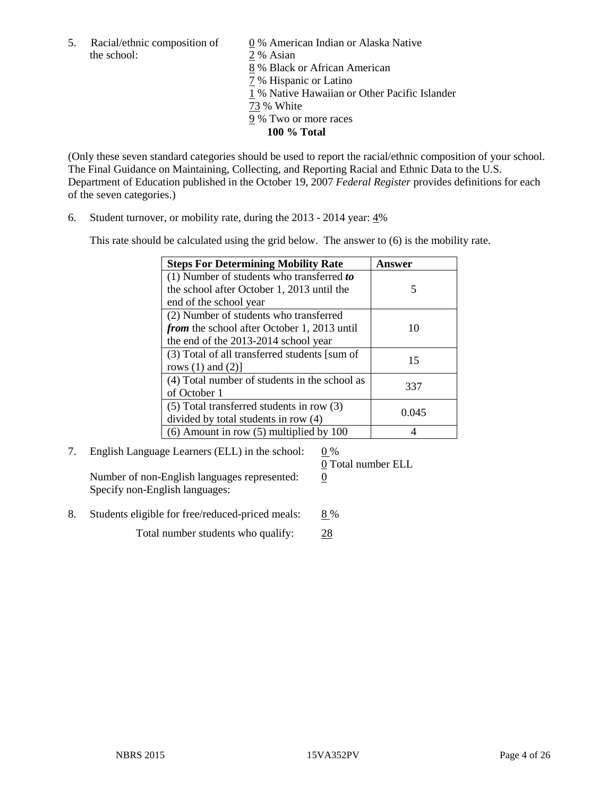5. Racial/ethnic composition of  $\qquad \qquad \underline{0}$  % American Indian or Alaska Native the school: 2 % Asian

 % Black or African American % Hispanic or Latino % Native Hawaiian or Other Pacific Islander 73 % White % Two or more races **100 % Total**

(Only these seven standard categories should be used to report the racial/ethnic composition of your school. The Final Guidance on Maintaining, Collecting, and Reporting Racial and Ethnic Data to the U.S. Department of Education published in the October 19, 2007 *Federal Register* provides definitions for each of the seven categories.)

6. Student turnover, or mobility rate, during the 2013 - 2014 year: 4%

This rate should be calculated using the grid below. The answer to (6) is the mobility rate.

| <b>Steps For Determining Mobility Rate</b>         | Answer |
|----------------------------------------------------|--------|
| (1) Number of students who transferred to          |        |
| the school after October 1, 2013 until the         | 5      |
| end of the school year                             |        |
| (2) Number of students who transferred             |        |
| <i>from</i> the school after October 1, 2013 until | 10     |
| the end of the 2013-2014 school year               |        |
| (3) Total of all transferred students [sum of      | 15     |
| rows $(1)$ and $(2)$ ]                             |        |
| (4) Total number of students in the school as      | 337    |
| of October 1                                       |        |
| (5) Total transferred students in row (3)          | 0.045  |
| divided by total students in row (4)               |        |
| $(6)$ Amount in row $(5)$ multiplied by 100        |        |

7. English Language Learners (ELL) in the school:  $0\%$ 

Number of non-English languages represented: 0 Specify non-English languages:

0 Total number ELL

8. Students eligible for free/reduced-priced meals: 8 %

Total number students who qualify: 28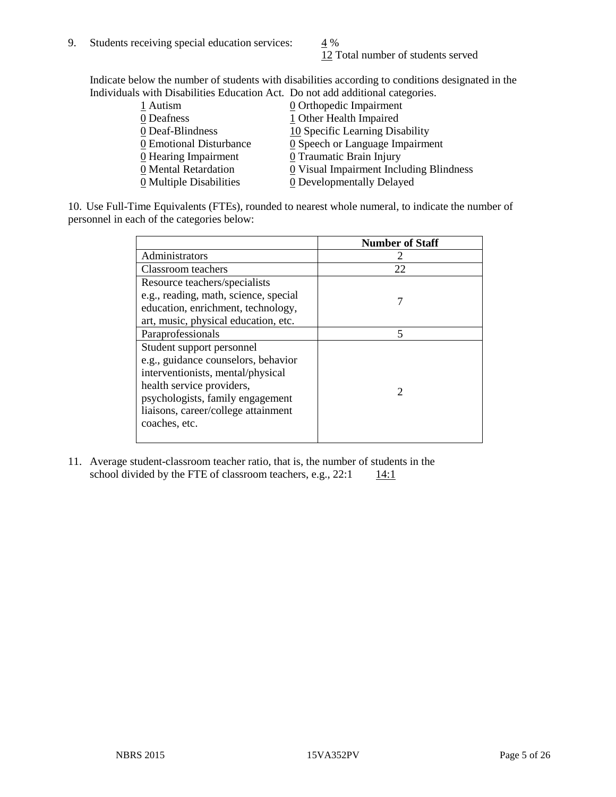12 Total number of students served

Indicate below the number of students with disabilities according to conditions designated in the Individuals with Disabilities Education Act. Do not add additional categories.

| 1 Autism                | $\underline{0}$ Orthopedic Impairment         |
|-------------------------|-----------------------------------------------|
| 0 Deafness              | 1 Other Health Impaired                       |
| 0 Deaf-Blindness        | 10 Specific Learning Disability               |
| 0 Emotional Disturbance | $\underline{0}$ Speech or Language Impairment |
| 0 Hearing Impairment    | 0 Traumatic Brain Injury                      |
| 0 Mental Retardation    | 0 Visual Impairment Including Blindness       |
| 0 Multiple Disabilities | 0 Developmentally Delayed                     |
|                         |                                               |

10. Use Full-Time Equivalents (FTEs), rounded to nearest whole numeral, to indicate the number of personnel in each of the categories below:

|                                       | <b>Number of Staff</b> |
|---------------------------------------|------------------------|
| Administrators                        |                        |
| Classroom teachers                    | 22                     |
| Resource teachers/specialists         |                        |
| e.g., reading, math, science, special |                        |
| education, enrichment, technology,    |                        |
| art, music, physical education, etc.  |                        |
| Paraprofessionals                     | 5                      |
| Student support personnel             |                        |
| e.g., guidance counselors, behavior   |                        |
| interventionists, mental/physical     |                        |
| health service providers,             |                        |
| psychologists, family engagement      |                        |
| liaisons, career/college attainment   |                        |
| coaches, etc.                         |                        |
|                                       |                        |

11. Average student-classroom teacher ratio, that is, the number of students in the school divided by the FTE of classroom teachers, e.g.,  $22:1$  14:1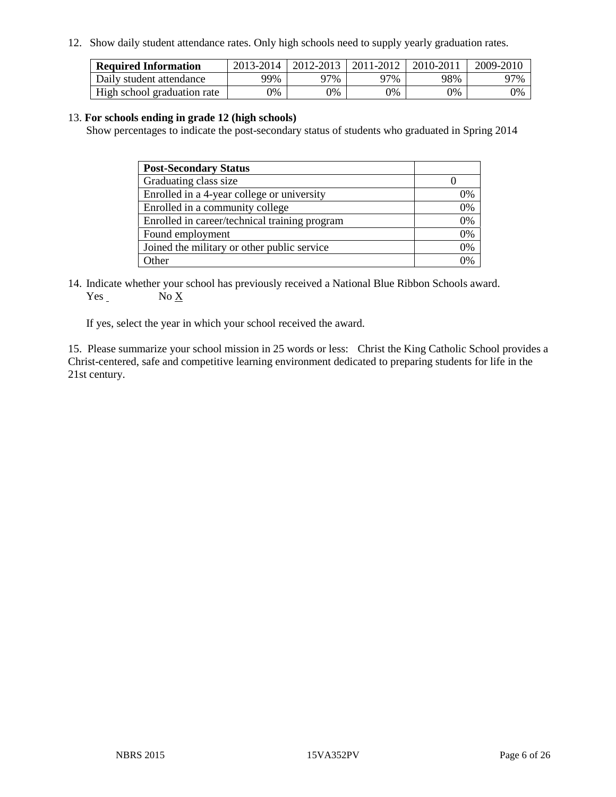12. Show daily student attendance rates. Only high schools need to supply yearly graduation rates.

| <b>Required Information</b> | 2013-2014 | $2012 - 2013$ | 2011-2012 | 2010-2011 | 2009-2010 |
|-----------------------------|-----------|---------------|-----------|-----------|-----------|
| Daily student attendance    | 99%       | 97%           | 97%       | 98%       | 97%       |
| High school graduation rate | 9%        | 0%            | 0%        | 9%        | 0%        |

#### 13. **For schools ending in grade 12 (high schools)**

Show percentages to indicate the post-secondary status of students who graduated in Spring 2014

| <b>Post-Secondary Status</b>                  |    |
|-----------------------------------------------|----|
| Graduating class size                         |    |
| Enrolled in a 4-year college or university    | 0% |
| Enrolled in a community college               | 0% |
| Enrolled in career/technical training program | 0% |
| Found employment                              | 0% |
| Joined the military or other public service   | 0% |
| Other                                         |    |

14. Indicate whether your school has previously received a National Blue Ribbon Schools award. Yes No X

If yes, select the year in which your school received the award.

15. Please summarize your school mission in 25 words or less: Christ the King Catholic School provides a Christ-centered, safe and competitive learning environment dedicated to preparing students for life in the 21st century.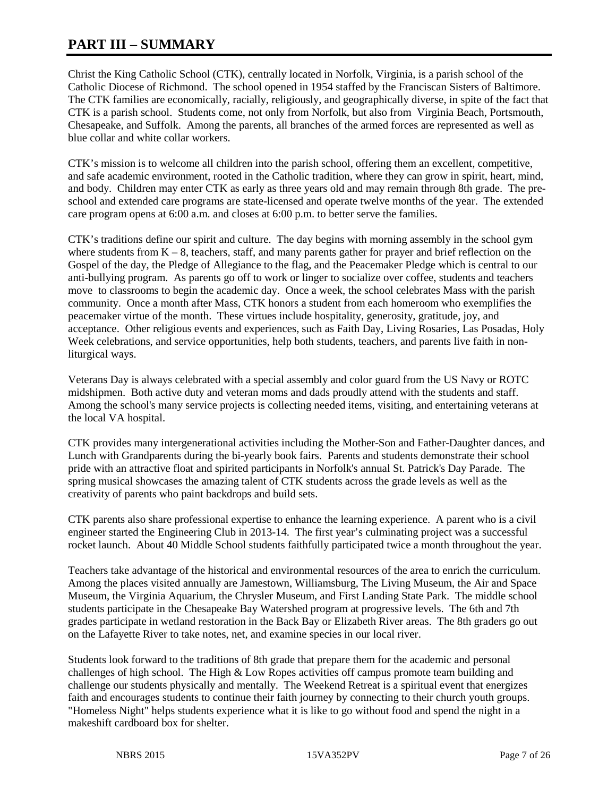# **PART III – SUMMARY**

Christ the King Catholic School (CTK), centrally located in Norfolk, Virginia, is a parish school of the Catholic Diocese of Richmond. The school opened in 1954 staffed by the Franciscan Sisters of Baltimore. The CTK families are economically, racially, religiously, and geographically diverse, in spite of the fact that CTK is a parish school. Students come, not only from Norfolk, but also from Virginia Beach, Portsmouth, Chesapeake, and Suffolk. Among the parents, all branches of the armed forces are represented as well as blue collar and white collar workers.

CTK's mission is to welcome all children into the parish school, offering them an excellent, competitive, and safe academic environment, rooted in the Catholic tradition, where they can grow in spirit, heart, mind, and body. Children may enter CTK as early as three years old and may remain through 8th grade. The preschool and extended care programs are state-licensed and operate twelve months of the year. The extended care program opens at 6:00 a.m. and closes at 6:00 p.m. to better serve the families.

CTK's traditions define our spirit and culture. The day begins with morning assembly in the school gym where students from  $K - 8$ , teachers, staff, and many parents gather for prayer and brief reflection on the Gospel of the day, the Pledge of Allegiance to the flag, and the Peacemaker Pledge which is central to our anti-bullying program. As parents go off to work or linger to socialize over coffee, students and teachers move to classrooms to begin the academic day. Once a week, the school celebrates Mass with the parish community. Once a month after Mass, CTK honors a student from each homeroom who exemplifies the peacemaker virtue of the month. These virtues include hospitality, generosity, gratitude, joy, and acceptance. Other religious events and experiences, such as Faith Day, Living Rosaries, Las Posadas, Holy Week celebrations, and service opportunities, help both students, teachers, and parents live faith in nonliturgical ways.

Veterans Day is always celebrated with a special assembly and color guard from the US Navy or ROTC midshipmen. Both active duty and veteran moms and dads proudly attend with the students and staff. Among the school's many service projects is collecting needed items, visiting, and entertaining veterans at the local VA hospital.

CTK provides many intergenerational activities including the Mother-Son and Father-Daughter dances, and Lunch with Grandparents during the bi-yearly book fairs. Parents and students demonstrate their school pride with an attractive float and spirited participants in Norfolk's annual St. Patrick's Day Parade. The spring musical showcases the amazing talent of CTK students across the grade levels as well as the creativity of parents who paint backdrops and build sets.

CTK parents also share professional expertise to enhance the learning experience. A parent who is a civil engineer started the Engineering Club in 2013-14. The first year's culminating project was a successful rocket launch. About 40 Middle School students faithfully participated twice a month throughout the year.

Teachers take advantage of the historical and environmental resources of the area to enrich the curriculum. Among the places visited annually are Jamestown, Williamsburg, The Living Museum, the Air and Space Museum, the Virginia Aquarium, the Chrysler Museum, and First Landing State Park. The middle school students participate in the Chesapeake Bay Watershed program at progressive levels. The 6th and 7th grades participate in wetland restoration in the Back Bay or Elizabeth River areas. The 8th graders go out on the Lafayette River to take notes, net, and examine species in our local river.

Students look forward to the traditions of 8th grade that prepare them for the academic and personal challenges of high school. The High  $&$  Low Ropes activities off campus promote team building and challenge our students physically and mentally. The Weekend Retreat is a spiritual event that energizes faith and encourages students to continue their faith journey by connecting to their church youth groups. "Homeless Night" helps students experience what it is like to go without food and spend the night in a makeshift cardboard box for shelter.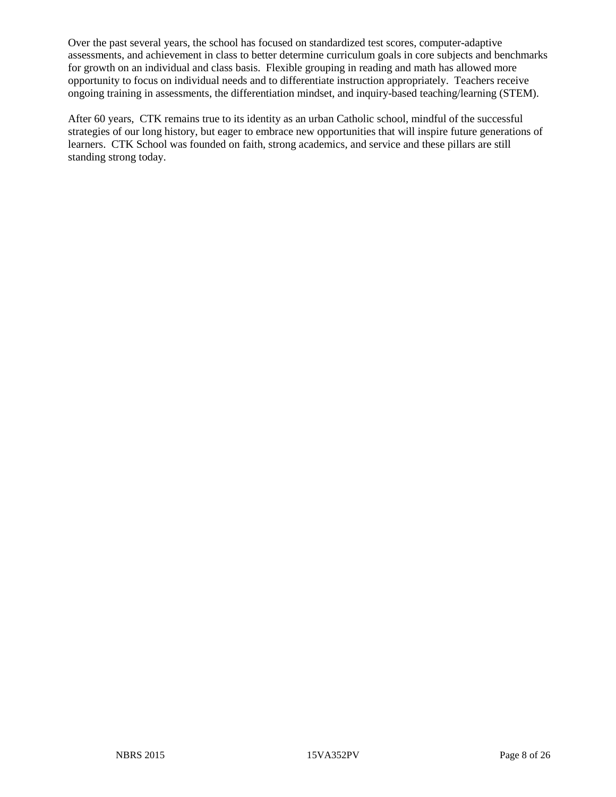Over the past several years, the school has focused on standardized test scores, computer-adaptive assessments, and achievement in class to better determine curriculum goals in core subjects and benchmarks for growth on an individual and class basis. Flexible grouping in reading and math has allowed more opportunity to focus on individual needs and to differentiate instruction appropriately. Teachers receive ongoing training in assessments, the differentiation mindset, and inquiry-based teaching/learning (STEM).

After 60 years, CTK remains true to its identity as an urban Catholic school, mindful of the successful strategies of our long history, but eager to embrace new opportunities that will inspire future generations of learners. CTK School was founded on faith, strong academics, and service and these pillars are still standing strong today.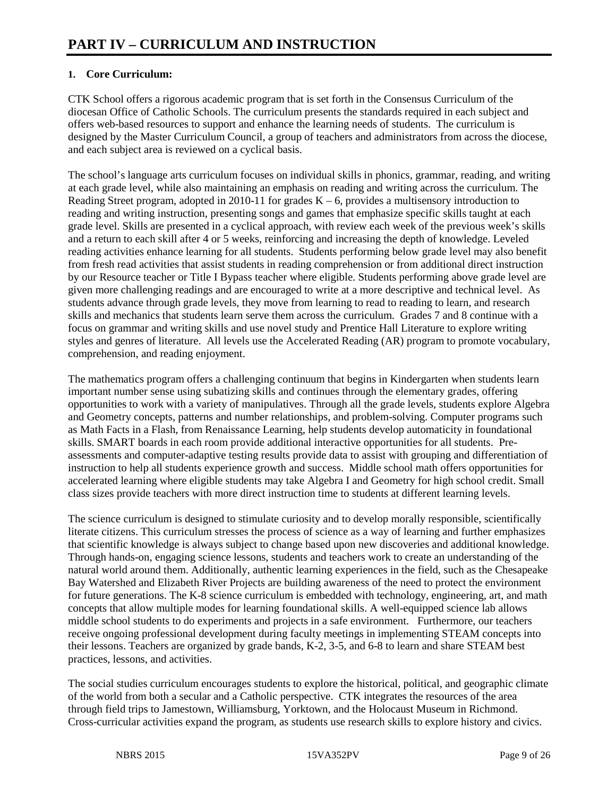## **1. Core Curriculum:**

CTK School offers a rigorous academic program that is set forth in the Consensus Curriculum of the diocesan Office of Catholic Schools. The curriculum presents the standards required in each subject and offers web-based resources to support and enhance the learning needs of students. The curriculum is designed by the Master Curriculum Council, a group of teachers and administrators from across the diocese, and each subject area is reviewed on a cyclical basis.

The school's language arts curriculum focuses on individual skills in phonics, grammar, reading, and writing at each grade level, while also maintaining an emphasis on reading and writing across the curriculum. The Reading Street program, adopted in 2010-11 for grades  $K - 6$ , provides a multisensory introduction to reading and writing instruction, presenting songs and games that emphasize specific skills taught at each grade level. Skills are presented in a cyclical approach, with review each week of the previous week's skills and a return to each skill after 4 or 5 weeks, reinforcing and increasing the depth of knowledge. Leveled reading activities enhance learning for all students. Students performing below grade level may also benefit from fresh read activities that assist students in reading comprehension or from additional direct instruction by our Resource teacher or Title I Bypass teacher where eligible. Students performing above grade level are given more challenging readings and are encouraged to write at a more descriptive and technical level. As students advance through grade levels, they move from learning to read to reading to learn, and research skills and mechanics that students learn serve them across the curriculum. Grades 7 and 8 continue with a focus on grammar and writing skills and use novel study and Prentice Hall Literature to explore writing styles and genres of literature. All levels use the Accelerated Reading (AR) program to promote vocabulary, comprehension, and reading enjoyment.

The mathematics program offers a challenging continuum that begins in Kindergarten when students learn important number sense using subatizing skills and continues through the elementary grades, offering opportunities to work with a variety of manipulatives. Through all the grade levels, students explore Algebra and Geometry concepts, patterns and number relationships, and problem-solving. Computer programs such as Math Facts in a Flash, from Renaissance Learning, help students develop automaticity in foundational skills. SMART boards in each room provide additional interactive opportunities for all students. Preassessments and computer-adaptive testing results provide data to assist with grouping and differentiation of instruction to help all students experience growth and success. Middle school math offers opportunities for accelerated learning where eligible students may take Algebra I and Geometry for high school credit. Small class sizes provide teachers with more direct instruction time to students at different learning levels.

The science curriculum is designed to stimulate curiosity and to develop morally responsible, scientifically literate citizens. This curriculum stresses the process of science as a way of learning and further emphasizes that scientific knowledge is always subject to change based upon new discoveries and additional knowledge. Through hands-on, engaging science lessons, students and teachers work to create an understanding of the natural world around them. Additionally, authentic learning experiences in the field, such as the Chesapeake Bay Watershed and Elizabeth River Projects are building awareness of the need to protect the environment for future generations. The K-8 science curriculum is embedded with technology, engineering, art, and math concepts that allow multiple modes for learning foundational skills. A well-equipped science lab allows middle school students to do experiments and projects in a safe environment. Furthermore, our teachers receive ongoing professional development during faculty meetings in implementing STEAM concepts into their lessons. Teachers are organized by grade bands, K-2, 3-5, and 6-8 to learn and share STEAM best practices, lessons, and activities.

The social studies curriculum encourages students to explore the historical, political, and geographic climate of the world from both a secular and a Catholic perspective. CTK integrates the resources of the area through field trips to Jamestown, Williamsburg, Yorktown, and the Holocaust Museum in Richmond. Cross-curricular activities expand the program, as students use research skills to explore history and civics.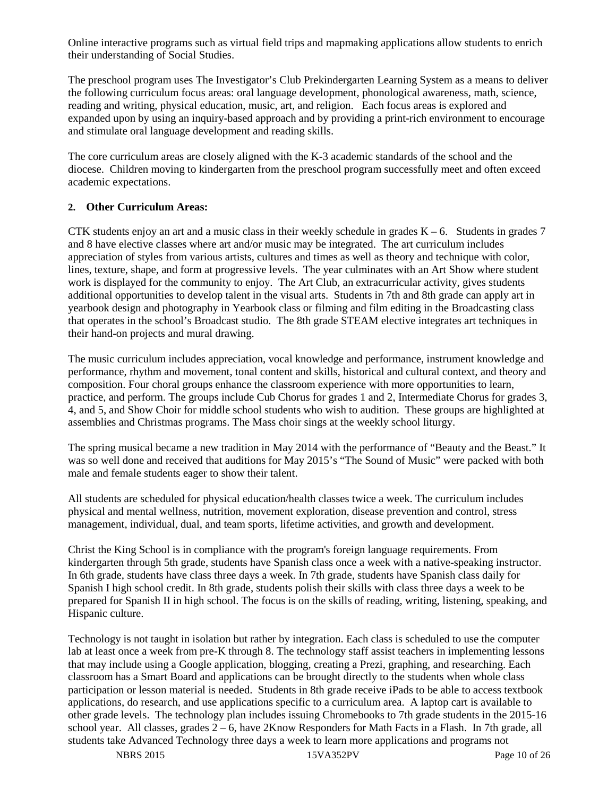Online interactive programs such as virtual field trips and mapmaking applications allow students to enrich their understanding of Social Studies.

The preschool program uses The Investigator's Club Prekindergarten Learning System as a means to deliver the following curriculum focus areas: oral language development, phonological awareness, math, science, reading and writing, physical education, music, art, and religion. Each focus areas is explored and expanded upon by using an inquiry-based approach and by providing a print-rich environment to encourage and stimulate oral language development and reading skills.

The core curriculum areas are closely aligned with the K-3 academic standards of the school and the diocese. Children moving to kindergarten from the preschool program successfully meet and often exceed academic expectations.

### **2. Other Curriculum Areas:**

CTK students enjoy an art and a music class in their weekly schedule in grades  $K - 6$ . Students in grades 7 and 8 have elective classes where art and/or music may be integrated. The art curriculum includes appreciation of styles from various artists, cultures and times as well as theory and technique with color, lines, texture, shape, and form at progressive levels. The year culminates with an Art Show where student work is displayed for the community to enjoy. The Art Club, an extracurricular activity, gives students additional opportunities to develop talent in the visual arts. Students in 7th and 8th grade can apply art in yearbook design and photography in Yearbook class or filming and film editing in the Broadcasting class that operates in the school's Broadcast studio. The 8th grade STEAM elective integrates art techniques in their hand-on projects and mural drawing.

The music curriculum includes appreciation, vocal knowledge and performance, instrument knowledge and performance, rhythm and movement, tonal content and skills, historical and cultural context, and theory and composition. Four choral groups enhance the classroom experience with more opportunities to learn, practice, and perform. The groups include Cub Chorus for grades 1 and 2, Intermediate Chorus for grades 3, 4, and 5, and Show Choir for middle school students who wish to audition. These groups are highlighted at assemblies and Christmas programs. The Mass choir sings at the weekly school liturgy.

The spring musical became a new tradition in May 2014 with the performance of "Beauty and the Beast." It was so well done and received that auditions for May 2015's "The Sound of Music" were packed with both male and female students eager to show their talent.

All students are scheduled for physical education/health classes twice a week. The curriculum includes physical and mental wellness, nutrition, movement exploration, disease prevention and control, stress management, individual, dual, and team sports, lifetime activities, and growth and development.

Christ the King School is in compliance with the program's foreign language requirements. From kindergarten through 5th grade, students have Spanish class once a week with a native-speaking instructor. In 6th grade, students have class three days a week. In 7th grade, students have Spanish class daily for Spanish I high school credit. In 8th grade, students polish their skills with class three days a week to be prepared for Spanish II in high school. The focus is on the skills of reading, writing, listening, speaking, and Hispanic culture.

Technology is not taught in isolation but rather by integration. Each class is scheduled to use the computer lab at least once a week from pre-K through 8. The technology staff assist teachers in implementing lessons that may include using a Google application, blogging, creating a Prezi, graphing, and researching. Each classroom has a Smart Board and applications can be brought directly to the students when whole class participation or lesson material is needed. Students in 8th grade receive iPads to be able to access textbook applications, do research, and use applications specific to a curriculum area. A laptop cart is available to other grade levels. The technology plan includes issuing Chromebooks to 7th grade students in the 2015-16 school year. All classes, grades  $2 - 6$ , have 2Know Responders for Math Facts in a Flash. In 7th grade, all students take Advanced Technology three days a week to learn more applications and programs not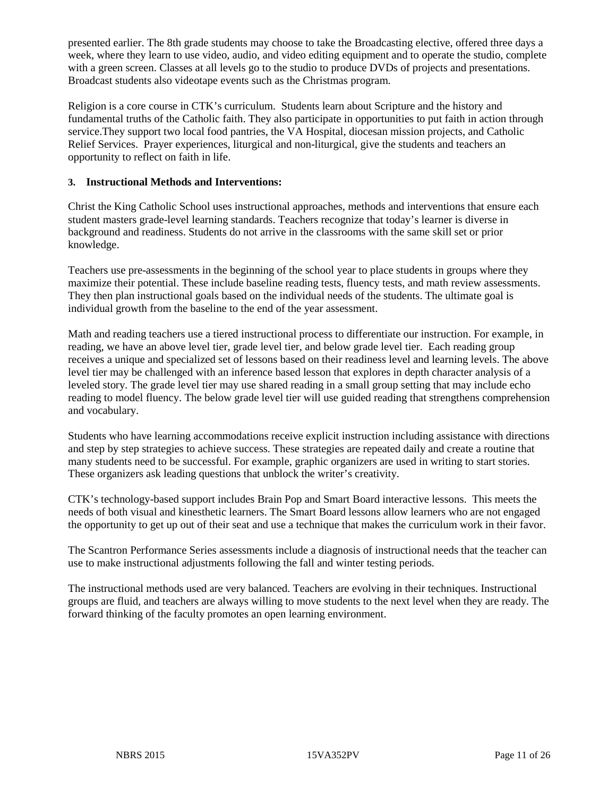presented earlier. The 8th grade students may choose to take the Broadcasting elective, offered three days a week, where they learn to use video, audio, and video editing equipment and to operate the studio, complete with a green screen. Classes at all levels go to the studio to produce DVDs of projects and presentations. Broadcast students also videotape events such as the Christmas program.

Religion is a core course in CTK's curriculum. Students learn about Scripture and the history and fundamental truths of the Catholic faith. They also participate in opportunities to put faith in action through service.They support two local food pantries, the VA Hospital, diocesan mission projects, and Catholic Relief Services. Prayer experiences, liturgical and non-liturgical, give the students and teachers an opportunity to reflect on faith in life.

#### **3. Instructional Methods and Interventions:**

Christ the King Catholic School uses instructional approaches, methods and interventions that ensure each student masters grade-level learning standards. Teachers recognize that today's learner is diverse in background and readiness. Students do not arrive in the classrooms with the same skill set or prior knowledge.

Teachers use pre-assessments in the beginning of the school year to place students in groups where they maximize their potential. These include baseline reading tests, fluency tests, and math review assessments. They then plan instructional goals based on the individual needs of the students. The ultimate goal is individual growth from the baseline to the end of the year assessment.

Math and reading teachers use a tiered instructional process to differentiate our instruction. For example, in reading, we have an above level tier, grade level tier, and below grade level tier. Each reading group receives a unique and specialized set of lessons based on their readiness level and learning levels. The above level tier may be challenged with an inference based lesson that explores in depth character analysis of a leveled story. The grade level tier may use shared reading in a small group setting that may include echo reading to model fluency. The below grade level tier will use guided reading that strengthens comprehension and vocabulary.

Students who have learning accommodations receive explicit instruction including assistance with directions and step by step strategies to achieve success. These strategies are repeated daily and create a routine that many students need to be successful. For example, graphic organizers are used in writing to start stories. These organizers ask leading questions that unblock the writer's creativity.

CTK's technology-based support includes Brain Pop and Smart Board interactive lessons. This meets the needs of both visual and kinesthetic learners. The Smart Board lessons allow learners who are not engaged the opportunity to get up out of their seat and use a technique that makes the curriculum work in their favor.

The Scantron Performance Series assessments include a diagnosis of instructional needs that the teacher can use to make instructional adjustments following the fall and winter testing periods.

The instructional methods used are very balanced. Teachers are evolving in their techniques. Instructional groups are fluid, and teachers are always willing to move students to the next level when they are ready. The forward thinking of the faculty promotes an open learning environment.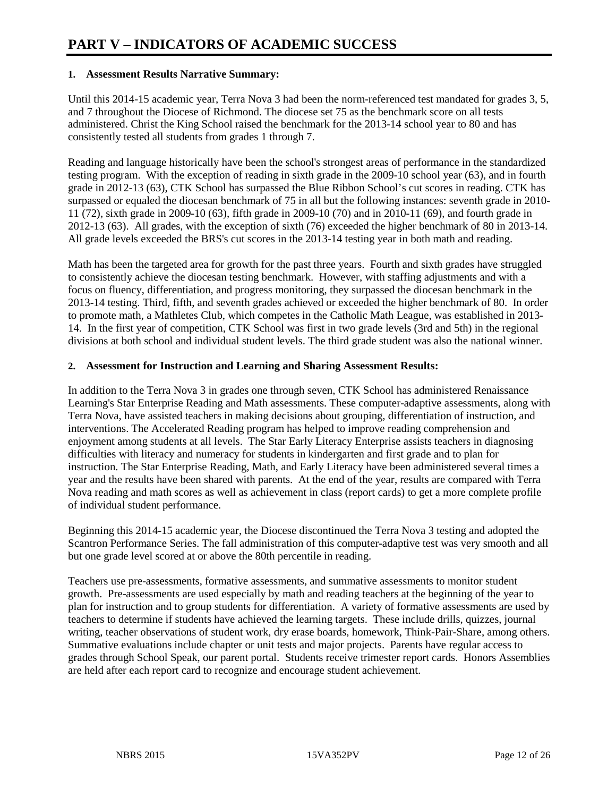#### **1. Assessment Results Narrative Summary:**

Until this 2014-15 academic year, Terra Nova 3 had been the norm-referenced test mandated for grades 3, 5, and 7 throughout the Diocese of Richmond. The diocese set 75 as the benchmark score on all tests administered. Christ the King School raised the benchmark for the 2013-14 school year to 80 and has consistently tested all students from grades 1 through 7.

Reading and language historically have been the school's strongest areas of performance in the standardized testing program. With the exception of reading in sixth grade in the 2009-10 school year (63), and in fourth grade in 2012-13 (63), CTK School has surpassed the Blue Ribbon School's cut scores in reading. CTK has surpassed or equaled the diocesan benchmark of 75 in all but the following instances: seventh grade in 2010-11 (72), sixth grade in 2009-10 (63), fifth grade in 2009-10 (70) and in 2010-11 (69), and fourth grade in 2012-13 (63). All grades, with the exception of sixth (76) exceeded the higher benchmark of 80 in 2013-14. All grade levels exceeded the BRS's cut scores in the 2013-14 testing year in both math and reading.

Math has been the targeted area for growth for the past three years. Fourth and sixth grades have struggled to consistently achieve the diocesan testing benchmark. However, with staffing adjustments and with a focus on fluency, differentiation, and progress monitoring, they surpassed the diocesan benchmark in the 2013-14 testing. Third, fifth, and seventh grades achieved or exceeded the higher benchmark of 80. In order to promote math, a Mathletes Club, which competes in the Catholic Math League, was established in 2013- 14. In the first year of competition, CTK School was first in two grade levels (3rd and 5th) in the regional divisions at both school and individual student levels. The third grade student was also the national winner.

#### **2. Assessment for Instruction and Learning and Sharing Assessment Results:**

In addition to the Terra Nova 3 in grades one through seven, CTK School has administered Renaissance Learning's Star Enterprise Reading and Math assessments. These computer-adaptive assessments, along with Terra Nova, have assisted teachers in making decisions about grouping, differentiation of instruction, and interventions. The Accelerated Reading program has helped to improve reading comprehension and enjoyment among students at all levels. The Star Early Literacy Enterprise assists teachers in diagnosing difficulties with literacy and numeracy for students in kindergarten and first grade and to plan for instruction. The Star Enterprise Reading, Math, and Early Literacy have been administered several times a year and the results have been shared with parents. At the end of the year, results are compared with Terra Nova reading and math scores as well as achievement in class (report cards) to get a more complete profile of individual student performance.

Beginning this 2014-15 academic year, the Diocese discontinued the Terra Nova 3 testing and adopted the Scantron Performance Series. The fall administration of this computer-adaptive test was very smooth and all but one grade level scored at or above the 80th percentile in reading.

Teachers use pre-assessments, formative assessments, and summative assessments to monitor student growth. Pre-assessments are used especially by math and reading teachers at the beginning of the year to plan for instruction and to group students for differentiation. A variety of formative assessments are used by teachers to determine if students have achieved the learning targets. These include drills, quizzes, journal writing, teacher observations of student work, dry erase boards, homework, Think-Pair-Share, among others. Summative evaluations include chapter or unit tests and major projects. Parents have regular access to grades through School Speak, our parent portal. Students receive trimester report cards. Honors Assemblies are held after each report card to recognize and encourage student achievement.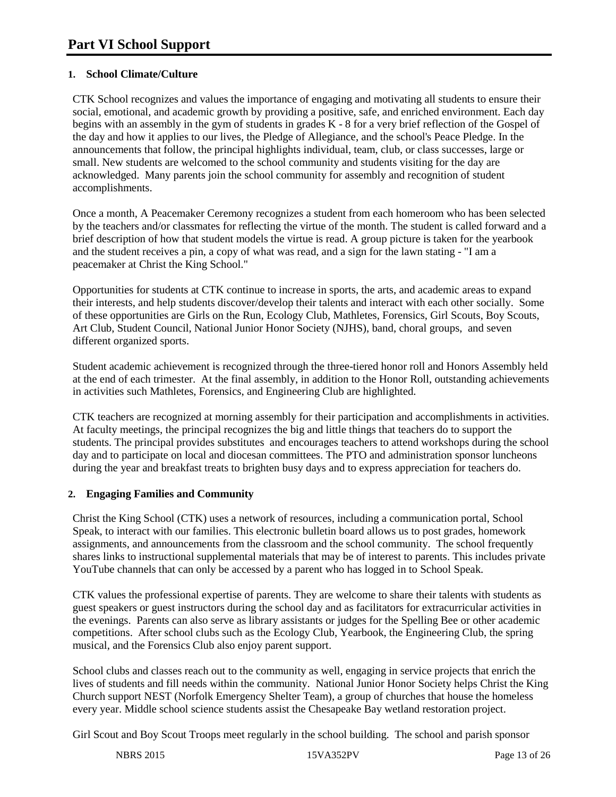#### **1. School Climate/Culture**

CTK School recognizes and values the importance of engaging and motivating all students to ensure their social, emotional, and academic growth by providing a positive, safe, and enriched environment. Each day begins with an assembly in the gym of students in grades K - 8 for a very brief reflection of the Gospel of the day and how it applies to our lives, the Pledge of Allegiance, and the school's Peace Pledge. In the announcements that follow, the principal highlights individual, team, club, or class successes, large or small. New students are welcomed to the school community and students visiting for the day are acknowledged. Many parents join the school community for assembly and recognition of student accomplishments.

Once a month, A Peacemaker Ceremony recognizes a student from each homeroom who has been selected by the teachers and/or classmates for reflecting the virtue of the month. The student is called forward and a brief description of how that student models the virtue is read. A group picture is taken for the yearbook and the student receives a pin, a copy of what was read, and a sign for the lawn stating - "I am a peacemaker at Christ the King School."

Opportunities for students at CTK continue to increase in sports, the arts, and academic areas to expand their interests, and help students discover/develop their talents and interact with each other socially. Some of these opportunities are Girls on the Run, Ecology Club, Mathletes, Forensics, Girl Scouts, Boy Scouts, Art Club, Student Council, National Junior Honor Society (NJHS), band, choral groups, and seven different organized sports.

Student academic achievement is recognized through the three-tiered honor roll and Honors Assembly held at the end of each trimester. At the final assembly, in addition to the Honor Roll, outstanding achievements in activities such Mathletes, Forensics, and Engineering Club are highlighted.

CTK teachers are recognized at morning assembly for their participation and accomplishments in activities. At faculty meetings, the principal recognizes the big and little things that teachers do to support the students. The principal provides substitutes and encourages teachers to attend workshops during the school day and to participate on local and diocesan committees. The PTO and administration sponsor luncheons during the year and breakfast treats to brighten busy days and to express appreciation for teachers do.

#### **2. Engaging Families and Community**

Christ the King School (CTK) uses a network of resources, including a communication portal, School Speak, to interact with our families. This electronic bulletin board allows us to post grades, homework assignments, and announcements from the classroom and the school community. The school frequently shares links to instructional supplemental materials that may be of interest to parents. This includes private YouTube channels that can only be accessed by a parent who has logged in to School Speak.

CTK values the professional expertise of parents. They are welcome to share their talents with students as guest speakers or guest instructors during the school day and as facilitators for extracurricular activities in the evenings. Parents can also serve as library assistants or judges for the Spelling Bee or other academic competitions. After school clubs such as the Ecology Club, Yearbook, the Engineering Club, the spring musical, and the Forensics Club also enjoy parent support.

School clubs and classes reach out to the community as well, engaging in service projects that enrich the lives of students and fill needs within the community. National Junior Honor Society helps Christ the King Church support NEST (Norfolk Emergency Shelter Team), a group of churches that house the homeless every year. Middle school science students assist the Chesapeake Bay wetland restoration project.

Girl Scout and Boy Scout Troops meet regularly in the school building. The school and parish sponsor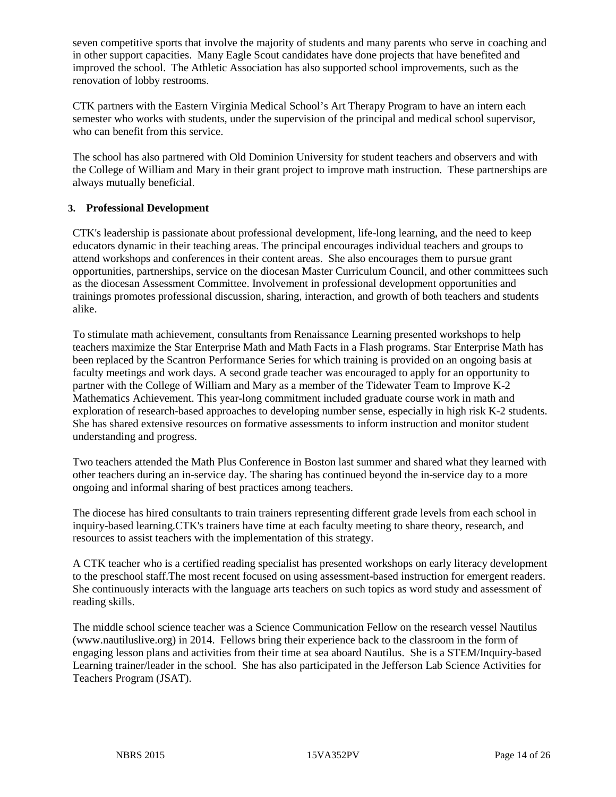seven competitive sports that involve the majority of students and many parents who serve in coaching and in other support capacities. Many Eagle Scout candidates have done projects that have benefited and improved the school. The Athletic Association has also supported school improvements, such as the renovation of lobby restrooms.

CTK partners with the Eastern Virginia Medical School's Art Therapy Program to have an intern each semester who works with students, under the supervision of the principal and medical school supervisor, who can benefit from this service.

The school has also partnered with Old Dominion University for student teachers and observers and with the College of William and Mary in their grant project to improve math instruction. These partnerships are always mutually beneficial.

#### **3. Professional Development**

CTK's leadership is passionate about professional development, life-long learning, and the need to keep educators dynamic in their teaching areas. The principal encourages individual teachers and groups to attend workshops and conferences in their content areas. She also encourages them to pursue grant opportunities, partnerships, service on the diocesan Master Curriculum Council, and other committees such as the diocesan Assessment Committee. Involvement in professional development opportunities and trainings promotes professional discussion, sharing, interaction, and growth of both teachers and students alike.

To stimulate math achievement, consultants from Renaissance Learning presented workshops to help teachers maximize the Star Enterprise Math and Math Facts in a Flash programs. Star Enterprise Math has been replaced by the Scantron Performance Series for which training is provided on an ongoing basis at faculty meetings and work days. A second grade teacher was encouraged to apply for an opportunity to partner with the College of William and Mary as a member of the Tidewater Team to Improve K-2 Mathematics Achievement. This year-long commitment included graduate course work in math and exploration of research-based approaches to developing number sense, especially in high risk K-2 students. She has shared extensive resources on formative assessments to inform instruction and monitor student understanding and progress.

Two teachers attended the Math Plus Conference in Boston last summer and shared what they learned with other teachers during an in-service day. The sharing has continued beyond the in-service day to a more ongoing and informal sharing of best practices among teachers.

The diocese has hired consultants to train trainers representing different grade levels from each school in inquiry-based learning.CTK's trainers have time at each faculty meeting to share theory, research, and resources to assist teachers with the implementation of this strategy.

A CTK teacher who is a certified reading specialist has presented workshops on early literacy development to the preschool staff.The most recent focused on using assessment-based instruction for emergent readers. She continuously interacts with the language arts teachers on such topics as word study and assessment of reading skills.

The middle school science teacher was a Science Communication Fellow on the research vessel Nautilus (www.nautiluslive.org) in 2014. Fellows bring their experience back to the classroom in the form of engaging lesson plans and activities from their time at sea aboard Nautilus. She is a STEM/Inquiry-based Learning trainer/leader in the school. She has also participated in the Jefferson Lab Science Activities for Teachers Program (JSAT).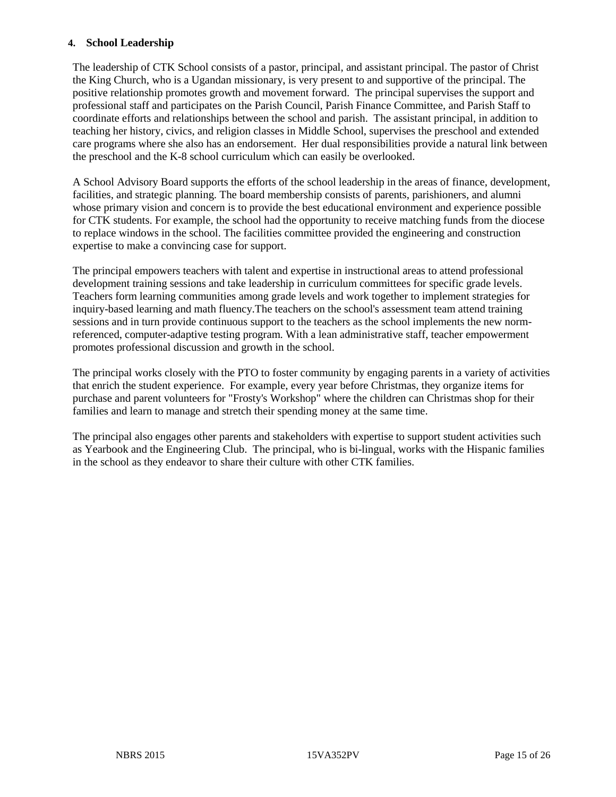#### **4. School Leadership**

The leadership of CTK School consists of a pastor, principal, and assistant principal. The pastor of Christ the King Church, who is a Ugandan missionary, is very present to and supportive of the principal. The positive relationship promotes growth and movement forward. The principal supervises the support and professional staff and participates on the Parish Council, Parish Finance Committee, and Parish Staff to coordinate efforts and relationships between the school and parish. The assistant principal, in addition to teaching her history, civics, and religion classes in Middle School, supervises the preschool and extended care programs where she also has an endorsement. Her dual responsibilities provide a natural link between the preschool and the K-8 school curriculum which can easily be overlooked.

A School Advisory Board supports the efforts of the school leadership in the areas of finance, development, facilities, and strategic planning. The board membership consists of parents, parishioners, and alumni whose primary vision and concern is to provide the best educational environment and experience possible for CTK students. For example, the school had the opportunity to receive matching funds from the diocese to replace windows in the school. The facilities committee provided the engineering and construction expertise to make a convincing case for support.

The principal empowers teachers with talent and expertise in instructional areas to attend professional development training sessions and take leadership in curriculum committees for specific grade levels. Teachers form learning communities among grade levels and work together to implement strategies for inquiry-based learning and math fluency.The teachers on the school's assessment team attend training sessions and in turn provide continuous support to the teachers as the school implements the new normreferenced, computer-adaptive testing program. With a lean administrative staff, teacher empowerment promotes professional discussion and growth in the school.

The principal works closely with the PTO to foster community by engaging parents in a variety of activities that enrich the student experience. For example, every year before Christmas, they organize items for purchase and parent volunteers for "Frosty's Workshop" where the children can Christmas shop for their families and learn to manage and stretch their spending money at the same time.

The principal also engages other parents and stakeholders with expertise to support student activities such as Yearbook and the Engineering Club. The principal, who is bi-lingual, works with the Hispanic families in the school as they endeavor to share their culture with other CTK families.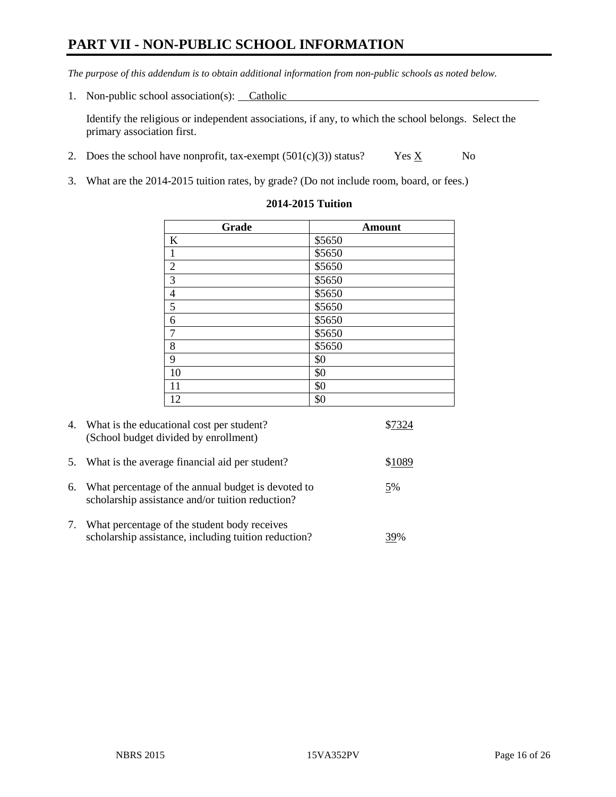# **PART VII - NON-PUBLIC SCHOOL INFORMATION**

*The purpose of this addendum is to obtain additional information from non-public schools as noted below.*

1. Non-public school association(s): Catholic

Identify the religious or independent associations, if any, to which the school belongs. Select the primary association first.

- 2. Does the school have nonprofit, tax-exempt  $(501(c)(3))$  status? Yes  $\underline{X}$  No
- 3. What are the 2014-2015 tuition rates, by grade? (Do not include room, board, or fees.)

| Grade          | <b>Amount</b> |
|----------------|---------------|
| K              | \$5650        |
| $\mathbf{1}$   | \$5650        |
| $\overline{2}$ | \$5650        |
| $\overline{3}$ | \$5650        |
| $\overline{4}$ | \$5650        |
| 5              | \$5650        |
| 6              | \$5650        |
| $\overline{7}$ | \$5650        |
| 8              | \$5650        |
| 9              | \$0           |
| 10             | \$0           |
| 11             | \$0           |
| 12             | \$0           |

#### **2014-2015 Tuition**

|    | 4. What is the educational cost per student?<br>(School budget divided by enrollment)                  |        |
|----|--------------------------------------------------------------------------------------------------------|--------|
| 5. | What is the average financial aid per student?                                                         | \$1089 |
| 6. | What percentage of the annual budget is devoted to<br>scholarship assistance and/or tuition reduction? | 5%     |
| 7. | What percentage of the student body receives<br>scholarship assistance, including tuition reduction?   |        |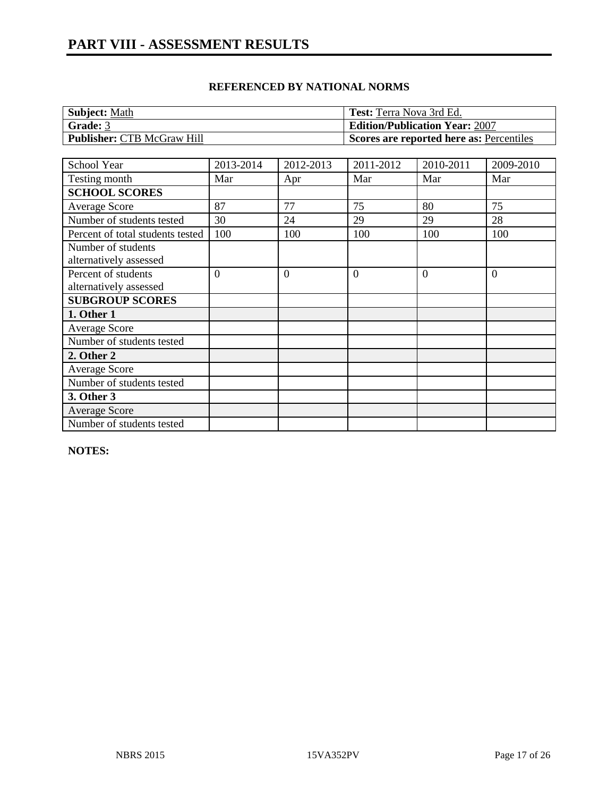| <b>Subject: Math</b>              | <b>Test:</b> Terra Nova 3rd Ed.          |
|-----------------------------------|------------------------------------------|
| Grade: 3                          | <b>Edition/Publication Year: 2007</b>    |
| <b>Publisher: CTB McGraw Hill</b> | Scores are reported here as: Percentiles |

| School Year                      | 2013-2014      | 2012-2013 | 2011-2012 | 2010-2011 | 2009-2010 |
|----------------------------------|----------------|-----------|-----------|-----------|-----------|
| Testing month                    | Mar            | Apr       | Mar       | Mar       | Mar       |
| <b>SCHOOL SCORES</b>             |                |           |           |           |           |
| <b>Average Score</b>             | 87             | 77        | 75        | 80        | 75        |
| Number of students tested        | 30             | 24        | 29        | 29        | 28        |
| Percent of total students tested | 100            | 100       | 100       | 100       | 100       |
| Number of students               |                |           |           |           |           |
| alternatively assessed           |                |           |           |           |           |
| Percent of students              | $\overline{0}$ | $\Omega$  | $\theta$  | $\Omega$  | $\theta$  |
| alternatively assessed           |                |           |           |           |           |
| <b>SUBGROUP SCORES</b>           |                |           |           |           |           |
| 1. Other 1                       |                |           |           |           |           |
| <b>Average Score</b>             |                |           |           |           |           |
| Number of students tested        |                |           |           |           |           |
| 2. Other 2                       |                |           |           |           |           |
| <b>Average Score</b>             |                |           |           |           |           |
| Number of students tested        |                |           |           |           |           |
| 3. Other 3                       |                |           |           |           |           |
| <b>Average Score</b>             |                |           |           |           |           |
| Number of students tested        |                |           |           |           |           |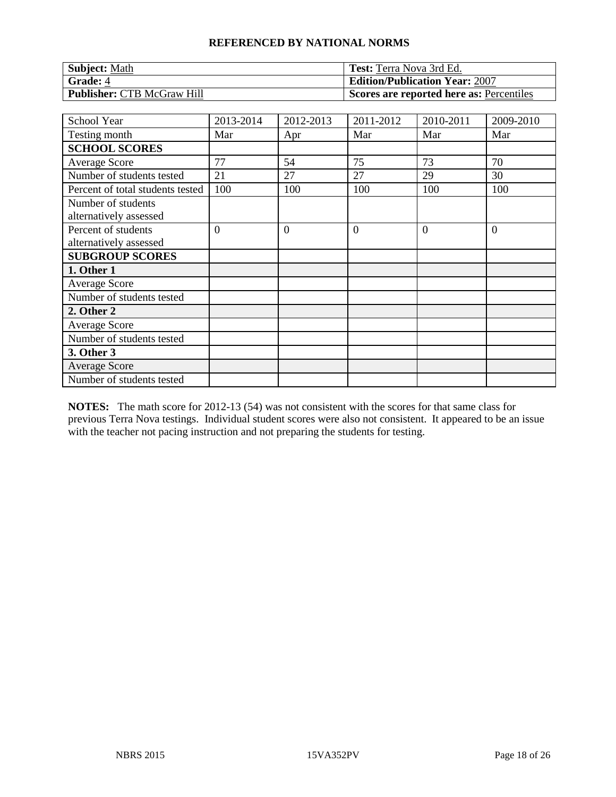| <b>Subject: Math</b>              | <b>Test:</b> Terra Nova 3rd Ed.          |
|-----------------------------------|------------------------------------------|
| Grade: 4                          | <b>Edition/Publication Year: 2007</b>    |
| <b>Publisher: CTB McGraw Hill</b> | Scores are reported here as: Percentiles |

| School Year                                   | 2013-2014      | 2012-2013      | 2011-2012      | 2010-2011 | 2009-2010      |
|-----------------------------------------------|----------------|----------------|----------------|-----------|----------------|
| Testing month                                 | Mar            | Apr            | Mar            | Mar       | Mar            |
| <b>SCHOOL SCORES</b>                          |                |                |                |           |                |
| <b>Average Score</b>                          | 77             | 54             | 75             | 73        | 70             |
| Number of students tested                     | 21             | 27             | 27             | 29        | 30             |
| Percent of total students tested              | 100            | 100            | 100            | 100       | 100            |
| Number of students<br>alternatively assessed  |                |                |                |           |                |
| Percent of students<br>alternatively assessed | $\overline{0}$ | $\overline{0}$ | $\overline{0}$ | $\Omega$  | $\overline{0}$ |
| <b>SUBGROUP SCORES</b>                        |                |                |                |           |                |
| 1. Other 1                                    |                |                |                |           |                |
| <b>Average Score</b>                          |                |                |                |           |                |
| Number of students tested                     |                |                |                |           |                |
| 2. Other 2                                    |                |                |                |           |                |
| <b>Average Score</b>                          |                |                |                |           |                |
| Number of students tested                     |                |                |                |           |                |
| 3. Other 3                                    |                |                |                |           |                |
| <b>Average Score</b>                          |                |                |                |           |                |
| Number of students tested                     |                |                |                |           |                |

**NOTES:** The math score for 2012-13 (54) was not consistent with the scores for that same class for previous Terra Nova testings. Individual student scores were also not consistent. It appeared to be an issue with the teacher not pacing instruction and not preparing the students for testing.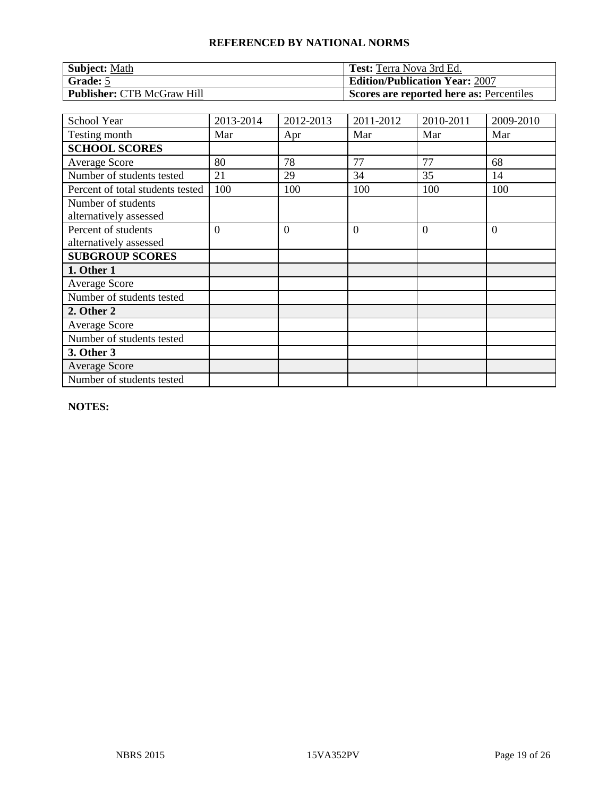| <b>Subject: Math</b>              | <b>Test:</b> Terra Nova 3rd Ed.          |
|-----------------------------------|------------------------------------------|
| Grade: 5                          | <b>Edition/Publication Year: 2007</b>    |
| <b>Publisher: CTB McGraw Hill</b> | Scores are reported here as: Percentiles |

| School Year                                   | 2013-2014 | 2012-2013      | 2011-2012      | 2010-2011 | 2009-2010 |
|-----------------------------------------------|-----------|----------------|----------------|-----------|-----------|
| Testing month                                 | Mar       | Apr            | Mar            | Mar       | Mar       |
| <b>SCHOOL SCORES</b>                          |           |                |                |           |           |
| <b>Average Score</b>                          | 80        | 78             | 77             | 77        | 68        |
| Number of students tested                     | 21        | 29             | 34             | 35        | 14        |
| Percent of total students tested              | 100       | 100            | 100            | 100       | 100       |
| Number of students<br>alternatively assessed  |           |                |                |           |           |
| Percent of students<br>alternatively assessed | $\Omega$  | $\overline{0}$ | $\overline{0}$ | $\Omega$  | $\theta$  |
| <b>SUBGROUP SCORES</b>                        |           |                |                |           |           |
| 1. Other 1                                    |           |                |                |           |           |
| <b>Average Score</b>                          |           |                |                |           |           |
| Number of students tested                     |           |                |                |           |           |
| 2. Other 2                                    |           |                |                |           |           |
| <b>Average Score</b>                          |           |                |                |           |           |
| Number of students tested                     |           |                |                |           |           |
| 3. Other 3                                    |           |                |                |           |           |
| <b>Average Score</b>                          |           |                |                |           |           |
| Number of students tested                     |           |                |                |           |           |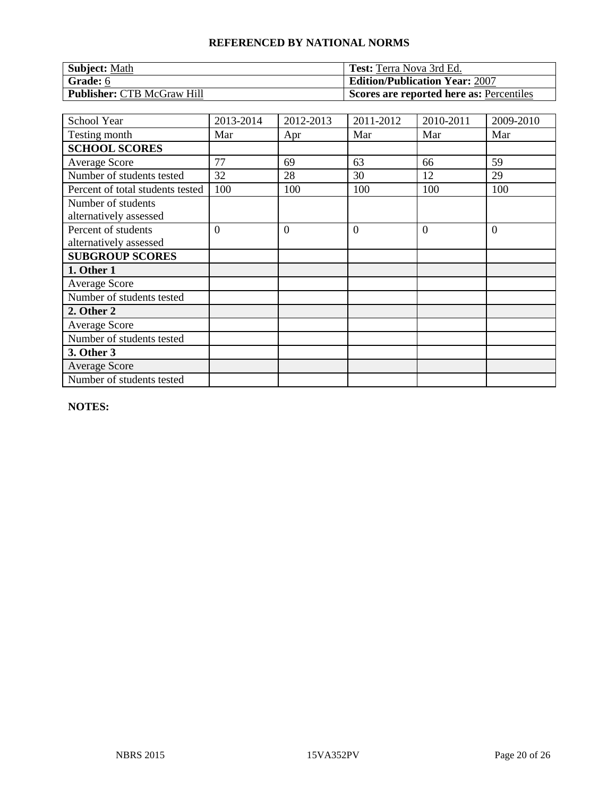| <b>Subject: Math</b>              | <b>Test:</b> Terra Nova 3rd Ed.          |
|-----------------------------------|------------------------------------------|
| Grade: 6                          | <b>Edition/Publication Year: 2007</b>    |
| <b>Publisher: CTB McGraw Hill</b> | Scores are reported here as: Percentiles |

| <b>School Year</b>               | 2013-2014 | 2012-2013      | 2011-2012 | 2010-2011 | 2009-2010      |
|----------------------------------|-----------|----------------|-----------|-----------|----------------|
| Testing month                    | Mar       | Apr            | Mar       | Mar       | Mar            |
| <b>SCHOOL SCORES</b>             |           |                |           |           |                |
| <b>Average Score</b>             | 77        | 69             | 63        | 66        | 59             |
| Number of students tested        | 32        | 28             | 30        | 12        | 29             |
| Percent of total students tested | 100       | 100            | 100       | 100       | 100            |
| Number of students               |           |                |           |           |                |
| alternatively assessed           |           |                |           |           |                |
| Percent of students              | $\theta$  | $\overline{0}$ | $\theta$  | $\theta$  | $\overline{0}$ |
| alternatively assessed           |           |                |           |           |                |
| <b>SUBGROUP SCORES</b>           |           |                |           |           |                |
| 1. Other 1                       |           |                |           |           |                |
| Average Score                    |           |                |           |           |                |
| Number of students tested        |           |                |           |           |                |
| 2. Other 2                       |           |                |           |           |                |
| <b>Average Score</b>             |           |                |           |           |                |
| Number of students tested        |           |                |           |           |                |
| 3. Other 3                       |           |                |           |           |                |
| <b>Average Score</b>             |           |                |           |           |                |
| Number of students tested        |           |                |           |           |                |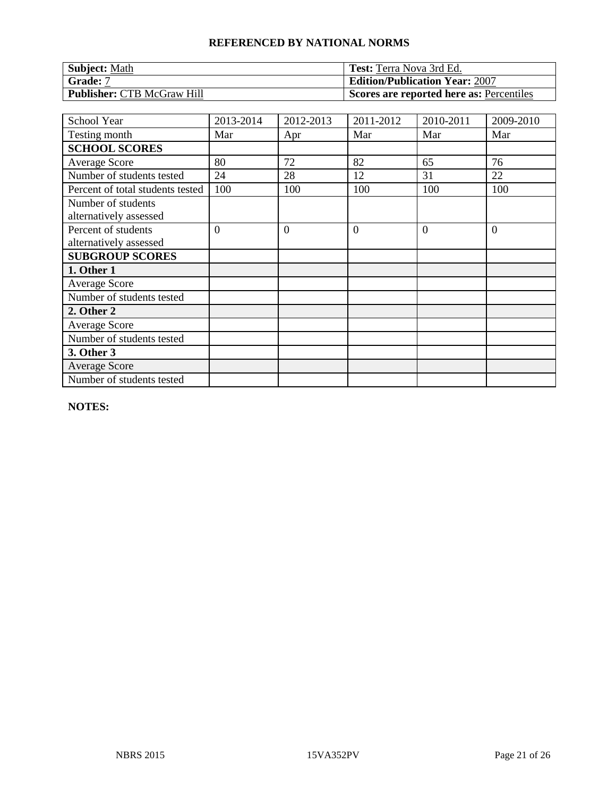| <b>Subject: Math</b>              | <b>Test:</b> Terra Nova 3rd Ed.          |
|-----------------------------------|------------------------------------------|
| Grade: 7                          | <b>Edition/Publication Year: 2007</b>    |
| <b>Publisher: CTB McGraw Hill</b> | Scores are reported here as: Percentiles |

| School Year                                   | 2013-2014      | 2012-2013      | 2011-2012      | 2010-2011 | 2009-2010      |
|-----------------------------------------------|----------------|----------------|----------------|-----------|----------------|
| Testing month                                 | Mar            | Apr            | Mar            | Mar       | Mar            |
| <b>SCHOOL SCORES</b>                          |                |                |                |           |                |
| <b>Average Score</b>                          | 80             | 72             | 82             | 65        | 76             |
| Number of students tested                     | 24             | 28             | 12             | 31        | 22             |
| Percent of total students tested              | 100            | 100            | 100            | 100       | 100            |
| Number of students<br>alternatively assessed  |                |                |                |           |                |
| Percent of students<br>alternatively assessed | $\overline{0}$ | $\overline{0}$ | $\overline{0}$ | $\Omega$  | $\overline{0}$ |
| <b>SUBGROUP SCORES</b>                        |                |                |                |           |                |
| 1. Other 1                                    |                |                |                |           |                |
| <b>Average Score</b>                          |                |                |                |           |                |
| Number of students tested                     |                |                |                |           |                |
| 2. Other 2                                    |                |                |                |           |                |
| <b>Average Score</b>                          |                |                |                |           |                |
| Number of students tested                     |                |                |                |           |                |
| 3. Other 3                                    |                |                |                |           |                |
| <b>Average Score</b>                          |                |                |                |           |                |
| Number of students tested                     |                |                |                |           |                |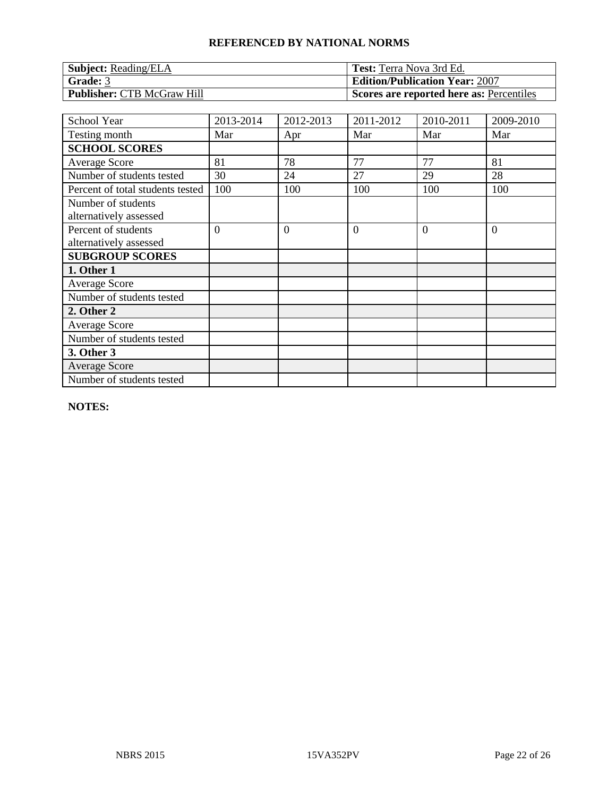| <b>Subject:</b> Reading/ELA       | <b>Test:</b> Terra Nova 3rd Ed.          |
|-----------------------------------|------------------------------------------|
| Grade: 3                          | <b>Edition/Publication Year: 2007</b>    |
| <b>Publisher: CTB McGraw Hill</b> | Scores are reported here as: Percentiles |

| School Year                                   | 2013-2014      | 2012-2013      | 2011-2012      | 2010-2011 | 2009-2010      |
|-----------------------------------------------|----------------|----------------|----------------|-----------|----------------|
| Testing month                                 | Mar            | Apr            | Mar            | Mar       | Mar            |
| <b>SCHOOL SCORES</b>                          |                |                |                |           |                |
| Average Score                                 | 81             | 78             | 77             | 77        | 81             |
| Number of students tested                     | 30             | 24             | 27             | 29        | 28             |
| Percent of total students tested              | 100            | 100            | 100            | 100       | 100            |
| Number of students<br>alternatively assessed  |                |                |                |           |                |
| Percent of students<br>alternatively assessed | $\overline{0}$ | $\overline{0}$ | $\overline{0}$ | $\Omega$  | $\overline{0}$ |
| <b>SUBGROUP SCORES</b>                        |                |                |                |           |                |
| 1. Other 1                                    |                |                |                |           |                |
| <b>Average Score</b>                          |                |                |                |           |                |
| Number of students tested                     |                |                |                |           |                |
| 2. Other 2                                    |                |                |                |           |                |
| <b>Average Score</b>                          |                |                |                |           |                |
| Number of students tested                     |                |                |                |           |                |
| 3. Other 3                                    |                |                |                |           |                |
| <b>Average Score</b>                          |                |                |                |           |                |
| Number of students tested                     |                |                |                |           |                |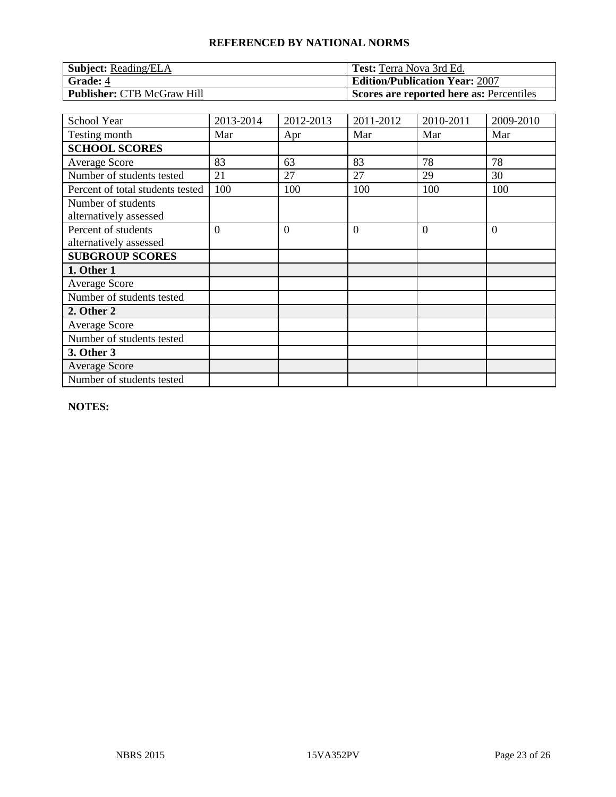| <b>Subject:</b> Reading/ELA       | <b>Test:</b> Terra Nova 3rd Ed.          |
|-----------------------------------|------------------------------------------|
| Grade: 4                          | <b>Edition/Publication Year: 2007</b>    |
| <b>Publisher: CTB McGraw Hill</b> | Scores are reported here as: Percentiles |

| School Year                                   | 2013-2014      | 2012-2013      | 2011-2012 | 2010-2011 | 2009-2010      |
|-----------------------------------------------|----------------|----------------|-----------|-----------|----------------|
| Testing month                                 | Mar            | Apr            | Mar       | Mar       | Mar            |
| <b>SCHOOL SCORES</b>                          |                |                |           |           |                |
| <b>Average Score</b>                          | 83             | 63             | 83        | 78        | 78             |
| Number of students tested                     | 21             | 27             | 27        | 29        | 30             |
| Percent of total students tested              | 100            | 100            | 100       | 100       | 100            |
| Number of students<br>alternatively assessed  |                |                |           |           |                |
| Percent of students<br>alternatively assessed | $\overline{0}$ | $\overline{0}$ | $\theta$  | $\Omega$  | $\overline{0}$ |
| <b>SUBGROUP SCORES</b>                        |                |                |           |           |                |
| 1. Other 1                                    |                |                |           |           |                |
| <b>Average Score</b>                          |                |                |           |           |                |
| Number of students tested                     |                |                |           |           |                |
| 2. Other 2                                    |                |                |           |           |                |
| <b>Average Score</b>                          |                |                |           |           |                |
| Number of students tested                     |                |                |           |           |                |
| 3. Other 3                                    |                |                |           |           |                |
| <b>Average Score</b>                          |                |                |           |           |                |
| Number of students tested                     |                |                |           |           |                |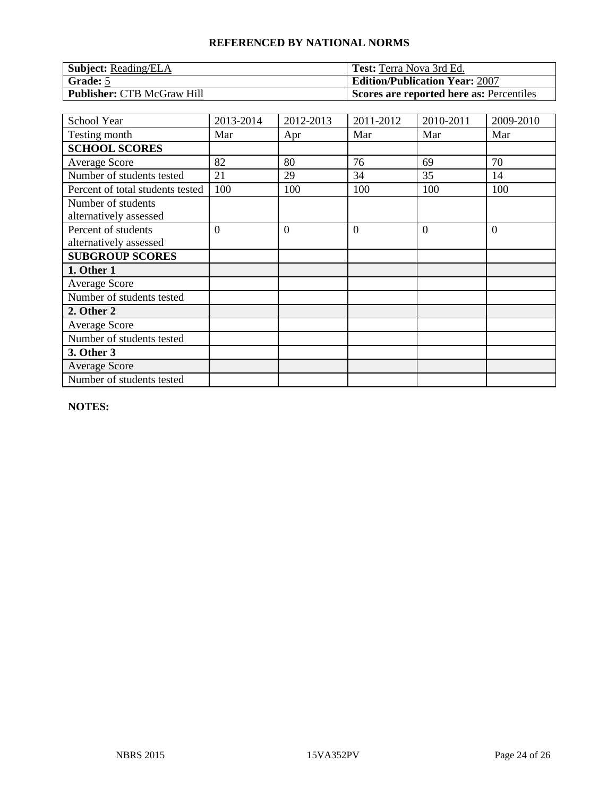| <b>Subject:</b> Reading/ELA       | <b>Test:</b> Terra Nova 3rd Ed.          |
|-----------------------------------|------------------------------------------|
| Grade: 5                          | <b>Edition/Publication Year: 2007</b>    |
| <b>Publisher: CTB McGraw Hill</b> | Scores are reported here as: Percentiles |

| School Year                                   | 2013-2014      | 2012-2013      | 2011-2012 | 2010-2011 | 2009-2010      |
|-----------------------------------------------|----------------|----------------|-----------|-----------|----------------|
| Testing month                                 | Mar            | Apr            | Mar       | Mar       | Mar            |
| <b>SCHOOL SCORES</b>                          |                |                |           |           |                |
| <b>Average Score</b>                          | 82             | 80             | 76        | 69        | 70             |
| Number of students tested                     | 21             | 29             | 34        | 35        | 14             |
| Percent of total students tested              | 100            | 100            | 100       | 100       | 100            |
| Number of students<br>alternatively assessed  |                |                |           |           |                |
| Percent of students<br>alternatively assessed | $\overline{0}$ | $\overline{0}$ | $\theta$  | $\Omega$  | $\overline{0}$ |
| <b>SUBGROUP SCORES</b>                        |                |                |           |           |                |
| 1. Other 1                                    |                |                |           |           |                |
| <b>Average Score</b>                          |                |                |           |           |                |
| Number of students tested                     |                |                |           |           |                |
| 2. Other 2                                    |                |                |           |           |                |
| <b>Average Score</b>                          |                |                |           |           |                |
| Number of students tested                     |                |                |           |           |                |
| 3. Other 3                                    |                |                |           |           |                |
| <b>Average Score</b>                          |                |                |           |           |                |
| Number of students tested                     |                |                |           |           |                |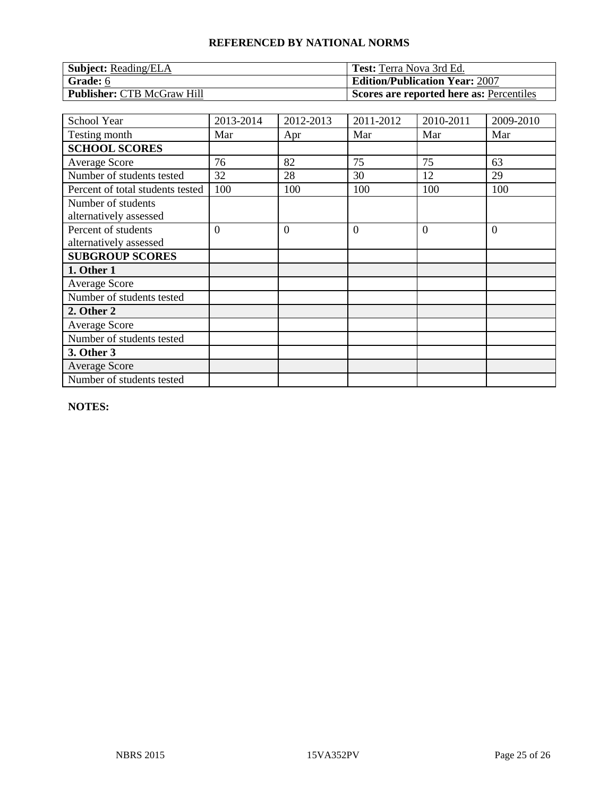| <b>Subject:</b> Reading/ELA       | <b>Test:</b> Terra Nova 3rd Ed.          |
|-----------------------------------|------------------------------------------|
| Grade: 6                          | <b>Edition/Publication Year: 2007</b>    |
| <b>Publisher: CTB McGraw Hill</b> | Scores are reported here as: Percentiles |

| School Year                                   | 2013-2014      | 2012-2013      | 2011-2012      | 2010-2011 | 2009-2010      |
|-----------------------------------------------|----------------|----------------|----------------|-----------|----------------|
| Testing month                                 | Mar            | Apr            | Mar            | Mar       | Mar            |
| <b>SCHOOL SCORES</b>                          |                |                |                |           |                |
| <b>Average Score</b>                          | 76             | 82             | 75             | 75        | 63             |
| Number of students tested                     | 32             | 28             | 30             | 12        | 29             |
| Percent of total students tested              | 100            | 100            | 100            | 100       | 100            |
| Number of students<br>alternatively assessed  |                |                |                |           |                |
| Percent of students<br>alternatively assessed | $\overline{0}$ | $\overline{0}$ | $\overline{0}$ | $\Omega$  | $\overline{0}$ |
| <b>SUBGROUP SCORES</b>                        |                |                |                |           |                |
| 1. Other 1                                    |                |                |                |           |                |
| <b>Average Score</b>                          |                |                |                |           |                |
| Number of students tested                     |                |                |                |           |                |
| 2. Other 2                                    |                |                |                |           |                |
| <b>Average Score</b>                          |                |                |                |           |                |
| Number of students tested                     |                |                |                |           |                |
| 3. Other 3                                    |                |                |                |           |                |
| <b>Average Score</b>                          |                |                |                |           |                |
| Number of students tested                     |                |                |                |           |                |